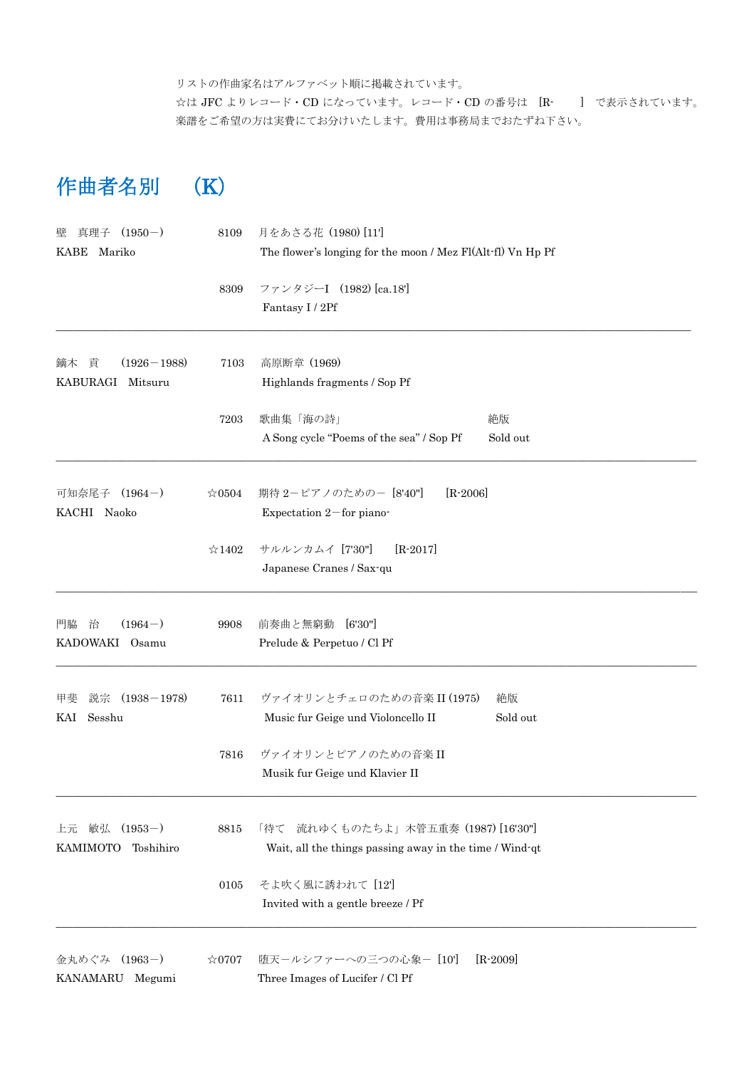リストの作曲家名はアルファベット順に掲載されています。 ☆は JFC よりレコード・CD になっています。レコード・CD の番号は [R- ] で表示されています。 楽譜をご希望の方は実費にてお分けいたします。費用は事務局までおたずね下さい。

## 作曲者名別 (K)

| $(1950-)$<br>真理子<br>壁       | 8109           | 月をあさる花 (1980)[11]                                           |              |
|-----------------------------|----------------|-------------------------------------------------------------|--------------|
| KABE<br>Mariko              |                | The flower's longing for the moon / Mez Fl(Alt-fl) Vn Hp Pf |              |
|                             | 8309           | ファンタジーI (1982) [ca.18']                                     |              |
|                             |                | Fantasy I / 2Pf                                             |              |
| 貢<br>$(1926 - 1988)$<br>鏑木  | 7103           | 高原断章 (1969)                                                 |              |
| KABURAGI Mitsuru            |                | Highlands fragments / Sop Pf                                |              |
|                             | 7203           | 歌曲集「海の詩」                                                    | 絶版           |
|                             |                | A Song cycle "Poems of the sea" / Sop Pf                    | Sold out     |
| $(1964-)$<br>可知奈尾子          | $\approx 0504$ | $[R-2006]$<br>期待 2-ピアノのための- [8'40"]                         |              |
| KACHI Naoko                 |                | Expectation $2$ – for piano-                                |              |
|                             | $\approx$ 1402 | サルルンカムイ [7'30"]<br>$[R - 2017]$                             |              |
|                             |                | Japanese Cranes / Sax-qu                                    |              |
| $(1964-)$<br>門脇<br>治        | 9908           | 前奏曲と無窮動<br>[6'30'']                                         |              |
| KADOWAKI Osamu              |                | Prelude & Perpetuo / Cl Pf                                  |              |
| $(1938 - 1978)$<br>説宗<br>甲斐 | 7611           | ヴァイオリンとチェロのための音楽 II (1975)                                  | 絶版           |
| Sesshu<br>KAI               |                | Music fur Geige und Violoncello II                          | Sold out     |
|                             | 7816           | ヴァイオリンとピアノのための音楽II                                          |              |
|                             |                | Musik fur Geige und Klavier II                              |              |
| 敏弘<br>$(1953-)$<br>上元       | 8815           | 流れゆくものたちよ」木管五重奏 (1987) [16'30"]<br>「待て」                     |              |
| KAMIMOTO<br>Toshihiro       |                | Wait, all the things passing away in the time / Wind-qt     |              |
|                             | 0105           | そよ吹く風に誘われて [12]                                             |              |
|                             |                | Invited with a gentle breeze / Pf                           |              |
| 金丸めぐみ (1963-)               | $\approx 0707$ | 堕天ールシファーへの三つの心象ー [10']                                      | $[R - 2009]$ |
| KANAMARU Megumi             |                | Three Images of Lucifer / Cl Pf                             |              |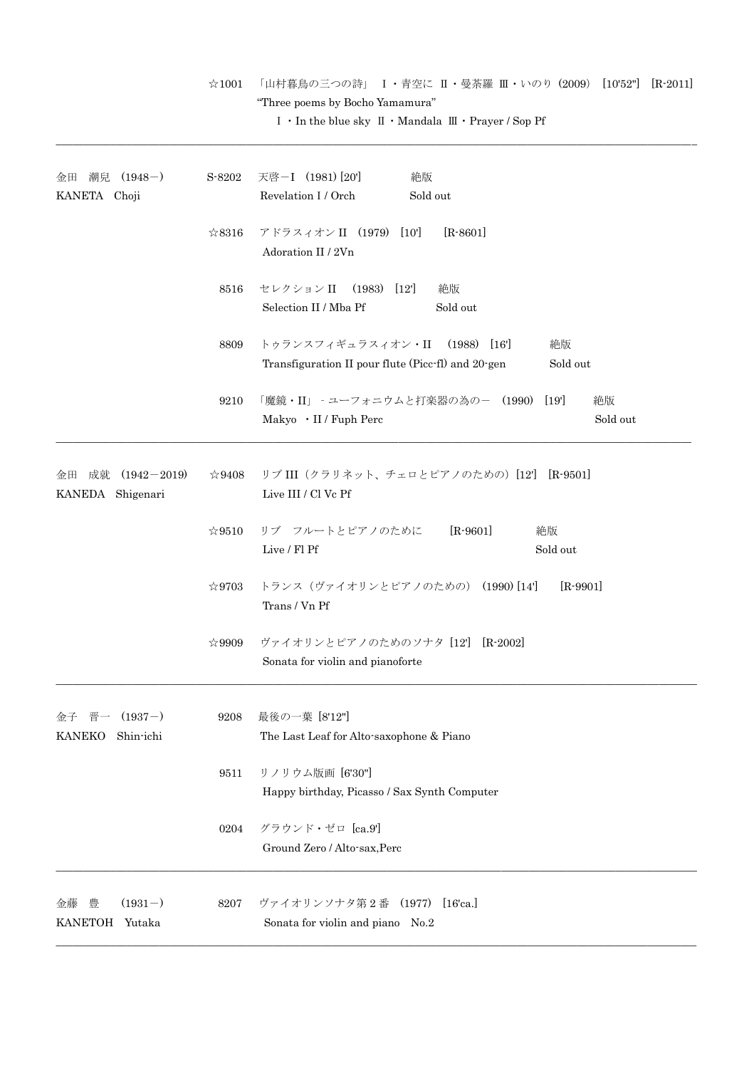|                                                    |                | "Three poems by Bocho Yamamura"<br>I $\cdot$ In the blue sky $\mathbb{I} \cdot$ Mandala $\mathbb{II} \cdot$ Prayer / Sop Pf |
|----------------------------------------------------|----------------|-----------------------------------------------------------------------------------------------------------------------------|
| 潮兒<br>$(1948-)$<br>金田<br>KANETA Choji              | S-8202         | 天啓-I (1981) [20]<br>絶版<br>Revelation I / Orch<br>Sold out                                                                   |
|                                                    | $\&8316$       | $[R - 8601]$<br>アドラスィオン II (1979)<br>[10]<br>Adoration II / 2Vn                                                             |
|                                                    | 8516           | セレクション II<br>$(1983)$ $[12]$<br>絶版<br>Selection II / Mba Pf<br>Sold out                                                     |
|                                                    | 8809           | トゥランスフィギュラスィオン・II (1988) [16']<br>絶版<br>Transfiguration II pour flute (Picc-fl) and 20-gen<br>Sold out                      |
|                                                    | 9210           | 「魔鏡・II」 - ユーフォニウムと打楽器の為の- (1990) [19']<br>絶版<br>Sold out<br>Makyo · II / Fuph Perc                                          |
| 成就 (1942-2019)<br>金田<br>KANEDA Shigenari           | $\approx 9408$ | リブ III (クラリネット、チェロとピアノのための) [12] [R-9501]<br>Live III / Cl Vc Pf                                                            |
|                                                    | ☆9510          | $[R-9601]$<br>リブ フルートとピアノのために<br>絶版<br>Live / Fl Pf<br>Sold out                                                             |
|                                                    | $\approx 9703$ | トランス (ヴァイオリンとピアノのための) (1990)[14]<br>$[R-9901]$<br>Trans / Vn Pf                                                             |
|                                                    | $\approx 9909$ | ヴァイオリンとピアノのためのソナタ [12] [R-2002]<br>Sonata for violin and pianoforte                                                         |
| $(1937-)$<br>晋<br>金子<br><b>KANEKO</b><br>Shin-ichi | 9208           | 最後の一葉 [8'12"]<br>The Last Leaf for Alto-saxophone & Piano                                                                   |
|                                                    | 9511           | リノリウム版画 [6'30"]<br>Happy birthday, Picasso / Sax Synth Computer                                                             |
|                                                    | 0204           | グラウンド・ゼロ [ca.9']<br>Ground Zero / Alto-sax, Perc                                                                            |
| 豊<br>$(1931-)$<br>金藤<br><b>KANETOH</b><br>Yutaka   | 8207           | ヴァイオリンソナタ第2番 (1977) [16'ca.]<br>Sonata for violin and piano No.2                                                            |

☆1001 「山村暮鳥の三つの詩」 Ⅰ・青空に Ⅱ・曼荼羅 Ⅲ・いのり (2009) [10'52"] [R-2011]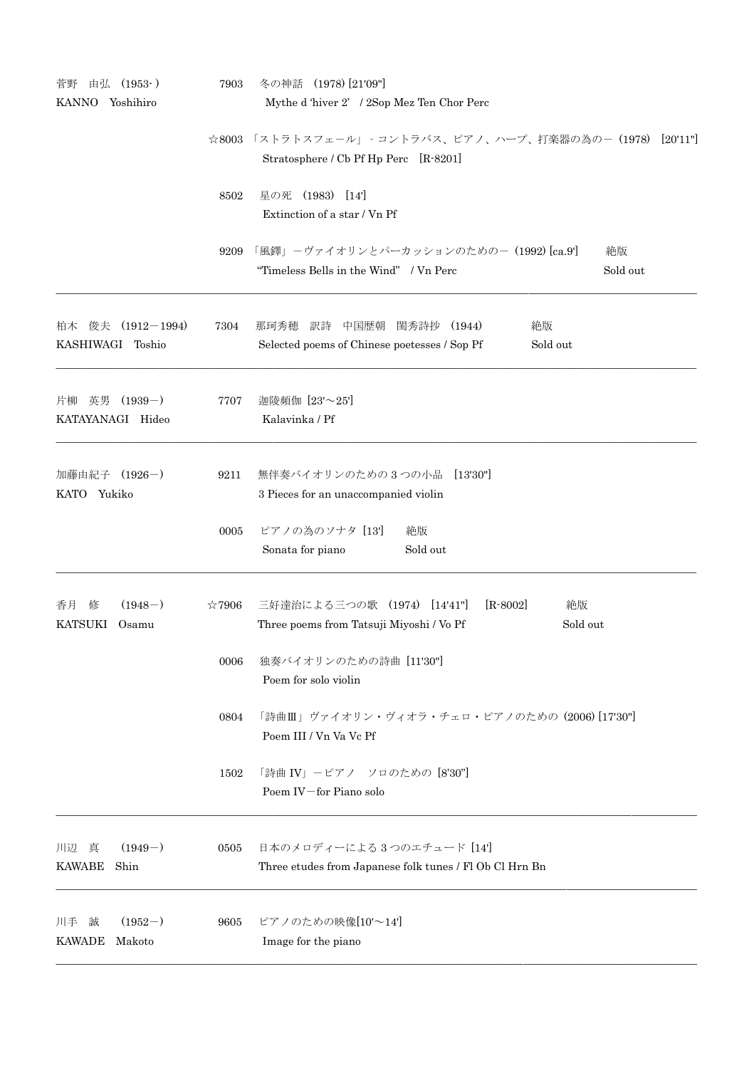| 由弘 (1953-)<br>菅野                          | 7903           | 冬の神話 (1978) [21'09"]                                                                                |
|-------------------------------------------|----------------|-----------------------------------------------------------------------------------------------------|
| Yoshihiro<br>KANNO                        |                | Mythe d'hiver 2' / 2Sop Mez Ten Chor Perc                                                           |
|                                           |                | ☆8003 「ストラトスフェール」 - コントラバス、ピアノ、ハープ、打楽器の為の-(1978) [20'11"]                                           |
|                                           |                | Stratosphere / Cb Pf Hp Perc [R-8201]                                                               |
|                                           | 8502           | 星の死 (1983) [14]                                                                                     |
|                                           |                | Extinction of a star / Vn Pf                                                                        |
|                                           |                |                                                                                                     |
|                                           | 9209           | 「風鐸」-ヴァイオリンとパーカッションのための- (1992) [ca.9']<br>絶版<br>"Timeless Bells in the Wind" / Vn Perc<br>Sold out |
|                                           |                |                                                                                                     |
| 柏木 俊夫 (1912-1994)                         | 7304           | 絶版<br>那珂秀穂<br>訳詩 中国歴朝<br>閨秀詩抄 (1944)                                                                |
| KASHIWAGI Toshio                          |                | Selected poems of Chinese poetesses / Sop Pf<br>Sold out                                            |
|                                           |                |                                                                                                     |
| 片柳 英男 (1939-)                             | 7707           | 迦陵頻伽 [23'~25']                                                                                      |
| KATAYANAGI Hideo                          |                | Kalavinka / Pf                                                                                      |
|                                           |                |                                                                                                     |
| 加藤由紀子 (1926-)                             | 9211           | 無伴奏バイオリンのための3つの小品 [13'30"]                                                                          |
| KATO Yukiko                               |                | 3 Pieces for an unaccompanied violin                                                                |
|                                           | 0005           | ピアノの為のソナタ [13]<br>絶版                                                                                |
|                                           |                | Sonata for piano<br>Sold out                                                                        |
|                                           |                |                                                                                                     |
| $(1948-)$<br>香月<br>修                      | $\approx 7906$ | 三好達治による三つの歌 (1974) [14'41"]<br>$[R - 8002]$<br>絶版                                                   |
| KATSUKI<br>Osamu                          |                | Three poems from Tatsuji Miyoshi / Vo Pf<br>Sold out                                                |
|                                           | 0006           | 独奏バイオリンのための詩曲 [11'30"]                                                                              |
|                                           |                | Poem for solo violin                                                                                |
|                                           |                |                                                                                                     |
|                                           | 0804           | 「詩曲Ⅲ」ヴァイオリン・ヴィオラ・チェロ・ピアノのための (2006) [17'30"]<br>Poem III / Vn Va Vc Pf                              |
|                                           |                |                                                                                                     |
|                                           | 1502           | 「詩曲 IV」-ピアノ ソロのための [8'30"]                                                                          |
|                                           |                | Poem IV-for Piano solo                                                                              |
|                                           |                |                                                                                                     |
| $(1949-)$<br>川辺真<br><b>KAWABE</b><br>Shin | 0505           | 日本のメロディーによる3つのエチュード [14]<br>Three etudes from Japanese folk tunes / Fl Ob Cl Hrn Bn                 |
|                                           |                |                                                                                                     |
| $(1952-)$<br>川手<br>誠                      | 9605           | ピアノのための映像[10'~14']                                                                                  |
| <b>KAWADE</b><br>Makoto                   |                | Image for the piano                                                                                 |
|                                           |                |                                                                                                     |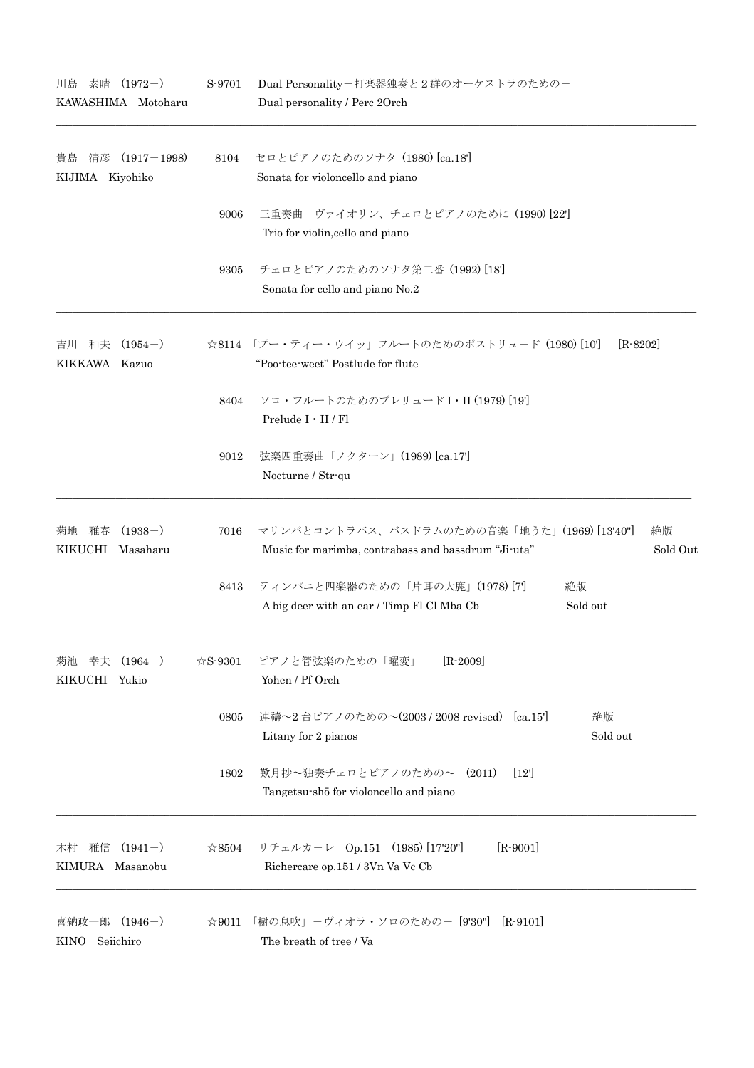| 川島<br>素晴                                  | $(1972-)$<br>KAWASHIMA Motoharu | S-9701                                                                               | Dual Personality-打楽器独奏と2群のオーケストラのためのー<br>Dual personality / Perc 20rch                                               |
|-------------------------------------------|---------------------------------|--------------------------------------------------------------------------------------|----------------------------------------------------------------------------------------------------------------------|
| 貴島<br>KIJIMA Kiyohiko                     | 清彦 (1917-1998)                  | 8104                                                                                 | セロとピアノのためのソナタ (1980) [ca.18']<br>Sonata for violoncello and piano                                                    |
|                                           |                                 | 9006                                                                                 | 三重奏曲 ヴァイオリン、チェロとピアノのために (1990) [22]<br>Trio for violin, cello and piano                                              |
|                                           |                                 | 9305                                                                                 | チェロとピアノのためのソナタ第二番 (1992) [18]<br>Sonata for cello and piano No.2                                                     |
| 吉川 和夫 (1954-)<br>KIKKAWA Kazuo            |                                 |                                                                                      | ☆8114 「プー・ティー・ウイッ」フルートのためのポストリュード (1980) [10']<br>$[R - 8202]$<br>"Poo-tee-weet" Postlude for flute                  |
|                                           |                                 | 8404                                                                                 | ソロ・フルートのためのプレリュードI·II (1979) [19]<br>Prelude I · II / Fl                                                             |
|                                           |                                 | 9012                                                                                 | 弦楽四重奏曲「ノクターン」(1989) [ca.17]<br>Nocturne / Str-qu                                                                     |
| 雅春<br>菊地<br>KIKUCHI Masaharu              | $(1938-)$                       | 7016                                                                                 | マリンバとコントラバス、バスドラムのための音楽「地うた」(1969) [13'40"]<br>絶版<br>Music for marimba, contrabass and bassdrum "Ji-uta"<br>Sold Out |
|                                           |                                 | 8413                                                                                 | ティンパニと四楽器のための「片耳の大鹿」(1978)[7]<br>絶版<br>A big deer with an ear / Timp Fl Cl Mba Cb<br>Sold out                        |
| $(1964-)$<br>幸夫<br>菊池<br>KIKUCHI<br>Yukio | $\&$ S-9301                     | $[R - 2009]$<br>ピアノと管弦楽のための「曜変」<br>Yohen / Pf Orch                                   |                                                                                                                      |
|                                           | 0805                            | 連禱~2台ピアノのための~(2003 / 2008 revised) [ca.15']<br>絶版<br>Litany for 2 pianos<br>Sold out |                                                                                                                      |
|                                           |                                 | 1802                                                                                 | 歎月抄~独奏チェロとピアノのための~ (2011)<br>$[12]$<br>Tangetsu-shō for violoncello and piano                                        |
| 雅信<br>木村<br>KIMURA Masanobu               | $(1941-)$                       | $\approx 8504$                                                                       | $[R-9001]$<br>リチェルカーレ Op.151 (1985) [17'20"]<br>Richercare op.151 / 3Vn Va Vc Cb                                     |
| 喜納政一郎<br><b>KINO</b>                      | $(1946-)$<br>Seiichiro          | ☆9011                                                                                | 「樹の息吹」-ヴィオラ・ソロのための- [9'30"]<br>$[R-9101]$<br>The breath of tree / Va                                                 |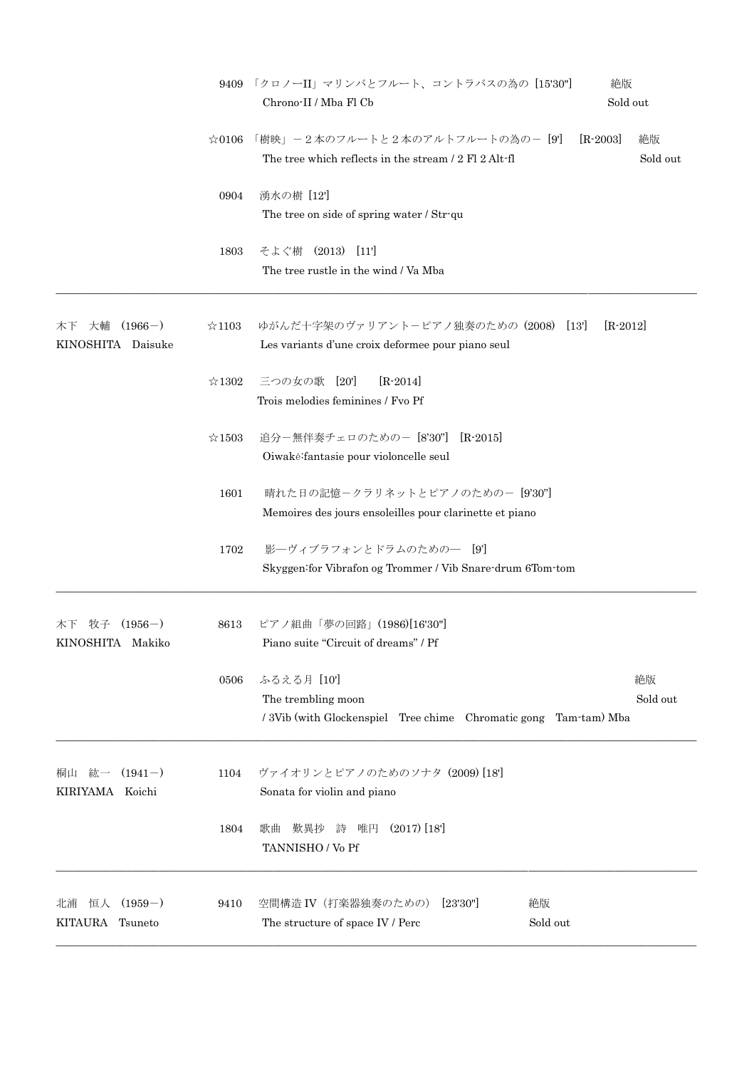|                                             | 9409           | 「クロノーII」マリンバとフルート、コントラバスの為の [15'30"]<br>絶版<br>Sold out<br>Chrono-II / Mba Fl Cb                                          |
|---------------------------------------------|----------------|--------------------------------------------------------------------------------------------------------------------------|
|                                             | $\approx 0106$ | 「樹映」-2本のフルートと2本のアルトフルートの為の- [9]<br>$[R-2003]$<br>絶版<br>The tree which reflects in the stream / 2 Fl 2 Alt-fl<br>Sold out |
|                                             | 0904           | 湧水の樹 [12]<br>The tree on side of spring water / Str-qu                                                                   |
|                                             | 1803           | そよぐ樹 (2013) [11]<br>The tree rustle in the wind / Va Mba                                                                 |
| $(1966-)$<br>大輔<br>木下<br>KINOSHITA Daisuke  | $\approx$ 1103 | ゆがんだ十字架のヴァリアントーピアノ独奏のための (2008) [13']<br>$[R-2012]$<br>Les variants d'une croix deformee pour piano seul                 |
|                                             | $\approx$ 1302 | 三つの女の歌 [20]<br>$[R - 2014]$<br>Trois melodies feminines / Fvo Pf                                                         |
|                                             | $\approx$ 1503 | 追分-無伴奏チェロのための- [8'30"]<br>$[R-2015]$<br>Oiwaké:fantasie pour violoncelle seul                                            |
|                                             | 1601           | 晴れた日の記憶ークラリネットとピアノのためのー [9'30"]<br>Memoires des jours ensoleilles pour clarinette et piano                               |
|                                             | 1702           | 影―ヴィブラフォンとドラムのための― [9']<br>Skyggen: for Vibrafon og Trommer / Vib Snare-drum 6Tom-tom                                    |
| 牧子<br>$(1956-)$<br>木下<br>KINOSHITA Makiko   | 8613           | ピアノ組曲「夢の回路」(1986)[16'30"]<br>Piano suite "Circuit of dreams" / Pf                                                        |
|                                             | 0506           | ふるえる月 [10']<br>絶版<br>Sold out<br>The trembling moon<br>/3Vib (with Glockenspiel Tree chime Chromatic gong Tam-tam) Mba   |
| 桐山 紘一<br>$(1941-)$<br>KIRIYAMA Koichi       | 1104           | ヴァイオリンとピアノのためのソナタ (2009) [18]<br>Sonata for violin and piano                                                             |
|                                             | 1804           | $(2017)$ [18]<br>詩<br>唯円<br>歎異抄<br>歌曲<br>TANNISHO / Vo Pf                                                                |
| $(1959-)$<br>恒人<br>北浦<br>KITAURA<br>Tsuneto | 9410           | 空間構造 IV (打楽器独奏のための) [23'30"]<br>絶版<br>Sold out<br>The structure of space IV / Perc                                       |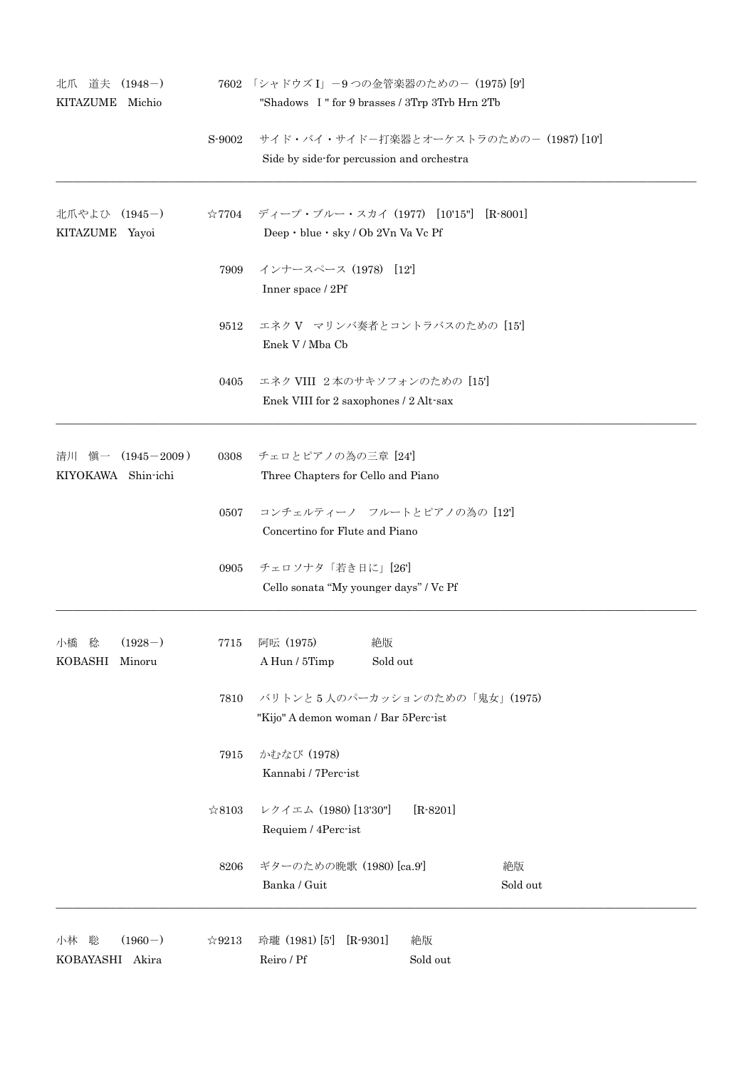| 北爪 道夫 (1948-)<br><b>KITAZUME</b><br>Michio       |                | 7602 「シャドウズ I」-9 つの金管楽器のための- (1975) [9']<br>"Shadows I" for 9 brasses / 3Trp 3Trb Hrn 2Tb      |
|--------------------------------------------------|----------------|------------------------------------------------------------------------------------------------|
|                                                  | S-9002         | サイド・バイ・サイドー打楽器とオーケストラのためのー (1987) [10]<br>Side by side-for percussion and orchestra            |
| 北爪やよひ (1945ー)<br>KITAZUME Yayoi                  |                | ☆7704 ディープ・ブルー・スカイ (1977) [10'15"] [R-8001]<br>Deep $\cdot$ blue $\cdot$ sky / Ob 2Vn Va Vc Pf |
|                                                  | 7909           | インナースペース (1978) [12]<br>Inner space / 2Pf                                                      |
|                                                  | 9512           | エネクV マリンバ奏者とコントラバスのための [15']<br>Enek V / Mba Cb                                                |
|                                                  | 0405           | エネク VIII 2本のサキソフォンのための [15']<br>Enek VIII for 2 saxophones / 2 Alt-sax                         |
| 清川 愼一 (1945-2009)<br>KIYOKAWA Shin-ichi          | 0308           | チェロとピアノの為の三章 [24]<br>Three Chapters for Cello and Piano                                        |
|                                                  | 0507           | コンチェルティーノ フルートとピアノの為の [12']<br>Concertino for Flute and Piano                                  |
|                                                  | 0905           | チェロソナタ「若き日に」[26]<br>Cello sonata "My younger days" / Vc Pf                                     |
| $(1928-)$<br>稔<br>小橋<br><b>KOBASHI</b><br>Minoru | 7715           | 阿呍 (1975)<br>絶版<br>A Hun / 5Timp<br>Sold out                                                   |
|                                                  | 7810           | バリトンと5人のパーカッションのための「鬼女」(1975)<br>"Kijo" A demon woman / Bar 5Perc-ist                          |
|                                                  | 7915           | かむなび (1978)<br>Kannabi / 7Perc-ist                                                             |
|                                                  | $\approx 8103$ | レクイエム (1980) [13'30"]<br>$[R-8201]$<br>Requiem / 4Perc-ist                                     |
|                                                  | 8206           | ギターのための晩歌 (1980) [ca.9]<br>絶版<br>Banka / Guit<br>Sold out                                      |
| $(1960-)$<br>小林<br>聡<br>KOBAYASHI Akira          | $\approx 9213$ | 玲瓏 (1981) [5]<br>$[R-9301]$<br>絶版<br>Reiro / Pf<br>Sold out                                    |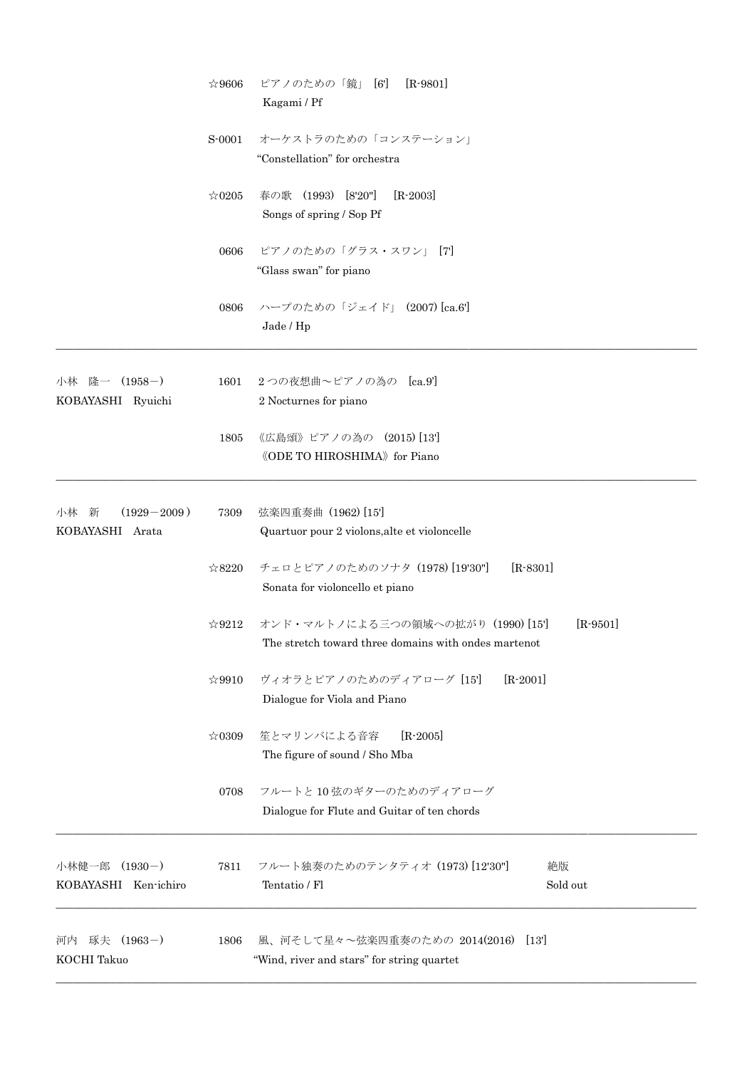|                                            | $\approx 9606$ | ピアノのための「鏡」 [6']<br>$[R-9801]$<br>Kagami / Pf                                                            |
|--------------------------------------------|----------------|---------------------------------------------------------------------------------------------------------|
|                                            | S-0001         | オーケストラのための「コンステーション」<br>"Constellation" for orchestra                                                   |
|                                            | $\approx 0205$ | 春の歌 (1993) [8'20"]<br>$[R-2003]$<br>Songs of spring / Sop Pf                                            |
|                                            | 0606           | ピアノのための「グラス・スワン」 [7]<br>"Glass swan" for piano                                                          |
|                                            | 0806           | ハープのための「ジェイド」 (2007) [ca.6']<br>Jade / Hp                                                               |
| 小林 隆一 (1958-)<br>KOBAYASHI Ryuichi         | 1601           | 2つの夜想曲~ピアノの為の [ca.9']<br>2 Nocturnes for piano                                                          |
|                                            | 1805           | 《広島頌》ピアノの為の (2015)[13]<br><b>《ODE TO HIROSHIMA》 for Piano</b>                                           |
| $(1929 - 2009)$<br>小林 新<br>KOBAYASHI Arata | 7309           | 弦楽四重奏曲 (1962) [15]<br>Quartuor pour 2 violons, alte et violoncelle                                      |
|                                            | $\approx 8220$ | チェロとピアノのためのソナタ (1978) [19'30"]<br>$[R - 8301]$<br>Sonata for violoncello et piano                       |
|                                            | $\approx 9212$ | $[R-9501]$<br>オンド・マルトノによる三つの領域への拡がり (1990) [15]<br>The stretch toward three domains with ondes martenot |
|                                            | ☆9910          | $[R - 2001]$<br>ヴィオラとピアノのためのディアローグ [15]<br>Dialogue for Viola and Piano                                 |
|                                            | $\approx 0309$ | 笙とマリンバによる音容<br>$[R-2005]$<br>The figure of sound / Sho Mba                                              |
|                                            | 0708           | フルートと10弦のギターのためのディアローグ<br>Dialogue for Flute and Guitar of ten chords                                   |
| 小林健一郎<br>$(1930-)$<br>KOBAYASHI Ken-ichiro | 7811           | フルート独奏のためのテンタティオ (1973) [12'30"]<br>絶版<br>Tentatio / Fl<br>Sold out                                     |
| 河内 琢夫 (1963-)<br>KOCHI Takuo               | 1806           | 風、河そして星々~弦楽四重奏のための 2014(2016) [13']<br>"Wind, river and stars" for string quartet                       |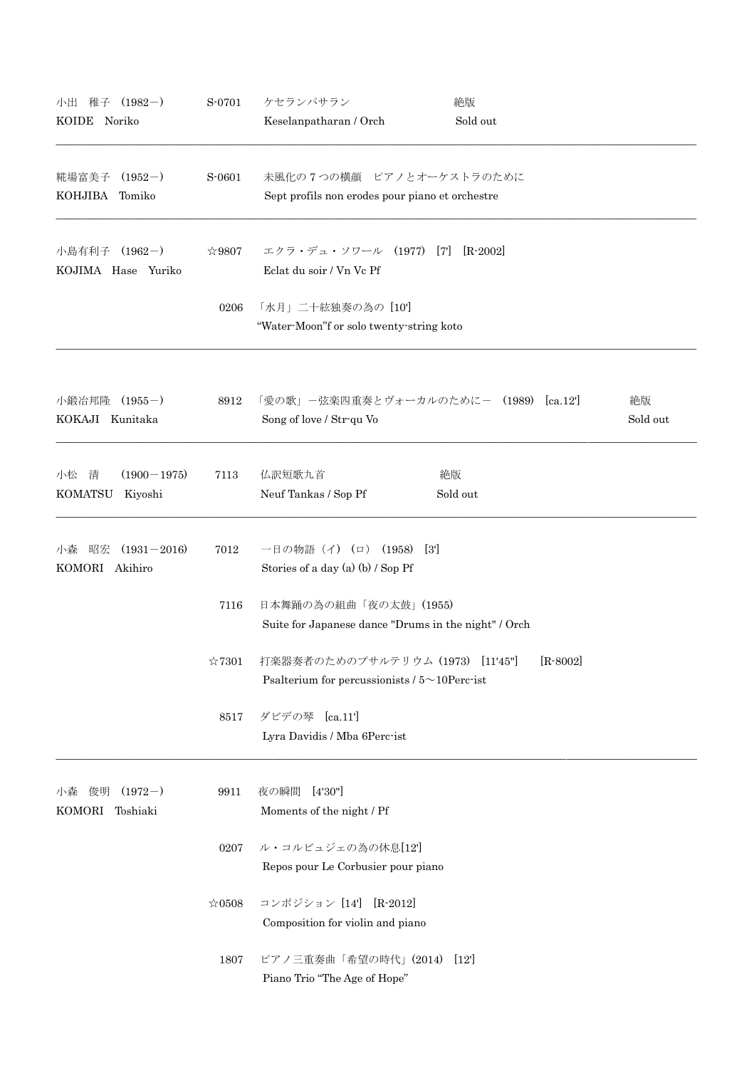| 小出<br>稚子<br>$(1982-)$<br>KOIDE Noriko                   | S-0701         | ケセランパサラン<br>Keselanpatharan / Orch                                                      | 絶版<br>Sold out                         |                |
|---------------------------------------------------------|----------------|-----------------------------------------------------------------------------------------|----------------------------------------|----------------|
| 糀場富美子<br>$(1952-)$<br>KOHJIBA<br>Tomiko                 | S-0601         | 未風化の7つの横顔 ピアノとオーケストラのために<br>Sept profils non erodes pour piano et orchestre             |                                        |                |
| 小島有利子<br>$(1962-)$<br>KOJIMA Hase Yuriko                | $\approx 9807$ | エクラ・デュ・ソワール (1977) [7]<br>Eclat du soir / Vn Vc Pf                                      | $[R - 2002]$                           |                |
|                                                         | 0206           | 「水月」二十絃独奏の為の [10']<br>"Water-Moon"f or solo twenty-string koto                          |                                        |                |
| 小鍛冶邦隆<br>$(1955-)$<br>KOKAJI Kunitaka                   | 8912           | Song of love / Str-qu Vo                                                                | 「愛の歌」-弦楽四重奏とヴォーカルのために- (1989) [ca.12'] | 絶版<br>Sold out |
| $(1900 - 1975)$<br>小松<br>清<br><b>KOMATSU</b><br>Kiyoshi | 7113           | 仏訳短歌九首<br>Neuf Tankas / Sop Pf                                                          | 絶版<br>Sold out                         |                |
| $(1931 - 2016)$<br>小森<br>昭宏<br>KOMORI Akihiro           | 7012           | (1958)<br>一日の物語(イ)<br>$(\Box)$<br>Stories of a day (a) (b) $/$ Sop Pf                   | [3]                                    |                |
|                                                         | 7116           | 日本舞踊の為の組曲「夜の太鼓」(1955)<br>Suite for Japanese dance "Drums in the night" / Orch           |                                        |                |
|                                                         | $\approx 7301$ | 打楽器奏者のためのプサルテリウム (1973) [11'45"]<br>Psalterium for percussionists $/5 \sim 10$ Perc-ist | $[R - 8002]$                           |                |
|                                                         | 8517           | ダビデの琴 [ca.11']<br>Lyra Davidis / Mba 6Perc-ist                                          |                                        |                |
| $(1972-)$<br>俊明<br>小森<br>KOMORI Toshiaki                | 9911           | [4'30']<br>夜の瞬間<br>Moments of the night / Pf                                            |                                        |                |
|                                                         | 0207           | ル・コルビュジェの為の休息[12]<br>Repos pour Le Corbusier pour piano                                 |                                        |                |
|                                                         | $\approx 0508$ | コンポジション [14'] [R-2012]<br>Composition for violin and piano                              |                                        |                |
|                                                         | 1807           | ピアノ三重奏曲「希望の時代」(2014) [12']<br>Piano Trio "The Age of Hope"                              |                                        |                |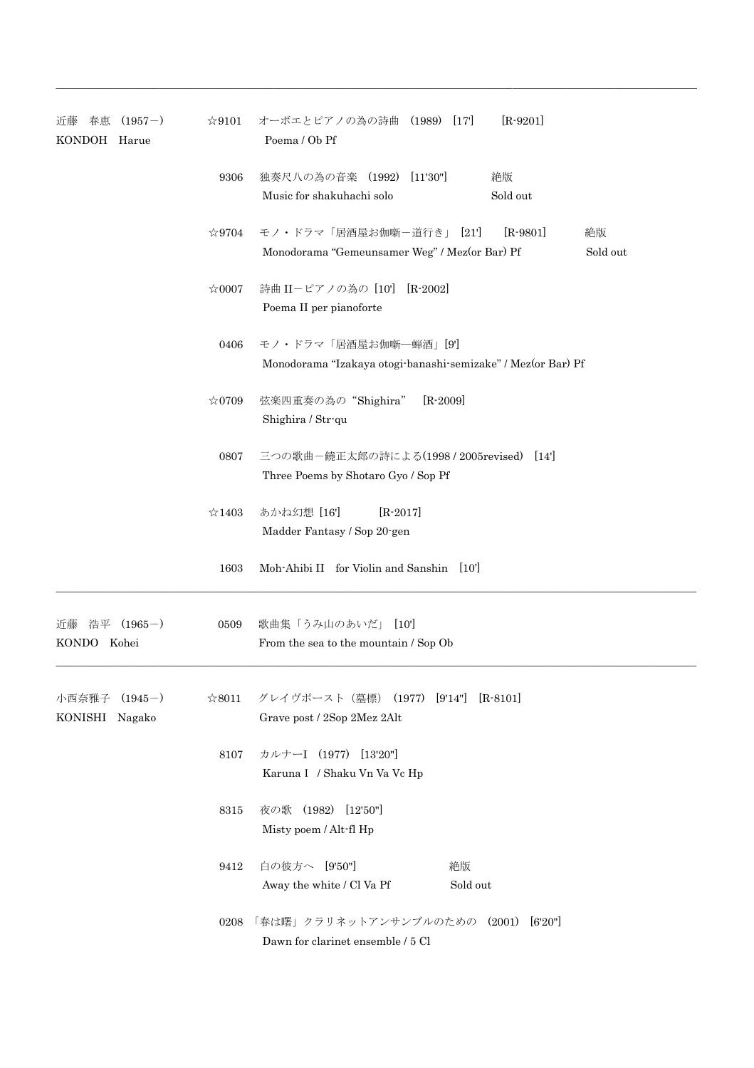| $(1957-)$<br>近藤<br>春恵<br>KONDOH Harue | $\approx 9101$ | オーボエとピアノの為の詩曲 (1989) [17]<br>$[R-9201]$<br>Poema / Ob Pf                                                 |
|---------------------------------------|----------------|----------------------------------------------------------------------------------------------------------|
|                                       | 9306           | 独奏尺八の為の音楽 (1992) [11'30"]<br>絶版<br>Music for shakuhachi solo<br>Sold out                                 |
|                                       | $\approx$ 9704 | モノ・ドラマ「居酒屋お伽噺ー道行き」 [21]<br>$[R-9801]$<br>絶版<br>Monodorama "Gemeunsamer Weg" / Mez(or Bar) Pf<br>Sold out |
|                                       | $\approx 0007$ | 詩曲 II-ピアノの為の [10] [R-2002]<br>Poema II per pianoforte                                                    |
|                                       | 0406           | モノ・ドラマ「居酒屋お伽噺–蝉酒」[9]<br>Monodorama "Izakaya otogi banashi semizake" / Mez(or Bar) Pf                     |
|                                       | $*0709$        | 弦楽四重奏の為の"Shighira"<br>$[R - 2009]$<br>Shighira / Str-qu                                                  |
|                                       | 0807           | 三つの歌曲-饒正太郎の詩による(1998 / 2005revised) [14]<br>Three Poems by Shotaro Gyo / Sop Pf                          |
|                                       | $\approx$ 1403 | あかね幻想 [16']<br>$[R - 2017]$<br>Madder Fantasy / Sop 20-gen                                               |
|                                       |                | 1603 Moh-Ahibi II for Violin and Sanshin [10]                                                            |
| $(1965-)$<br>近藤<br>浩平<br>KONDO Kohei  | 0509           | 歌曲集「うみ山のあいだ」 [10']<br>From the sea to the mountain / Sop Ob                                              |
| 小西奈雅子 (1945-)<br>KONISHI Nagako       | $\approx 8011$ | グレイヴポースト(墓標) (1977) [9'14"] [R-8101]<br>Grave post / 2Sop 2Mez 2Alt                                      |
|                                       | 8107           | カルナーI (1977) [13'20"]<br>Karuna I / Shaku Vn Va Vc Hp                                                    |
|                                       | 8315           | 夜の歌 (1982) [12'50"]<br>Misty poem / Alt-fl Hp                                                            |
|                                       | 9412           | 白の彼方へ [9'50"]<br>絶版<br>Away the white / Cl Va Pf<br>Sold out                                             |
|                                       | 0208           | 「春は曙」クラリネットアンサンブルのための (2001)<br>[6'20"]<br>Dawn for clarinet ensemble / 5 Cl                             |

 $\_$  ,  $\_$  ,  $\_$  ,  $\_$  ,  $\_$  ,  $\_$  ,  $\_$  ,  $\_$  ,  $\_$  ,  $\_$  ,  $\_$  ,  $\_$  ,  $\_$  ,  $\_$  ,  $\_$  ,  $\_$  ,  $\_$  ,  $\_$  ,  $\_$  ,  $\_$  ,  $\_$  ,  $\_$  ,  $\_$  ,  $\_$  ,  $\_$  ,  $\_$  ,  $\_$  ,  $\_$  ,  $\_$  ,  $\_$  ,  $\_$  ,  $\_$  ,  $\_$  ,  $\_$  ,  $\_$  ,  $\_$  ,  $\_$  ,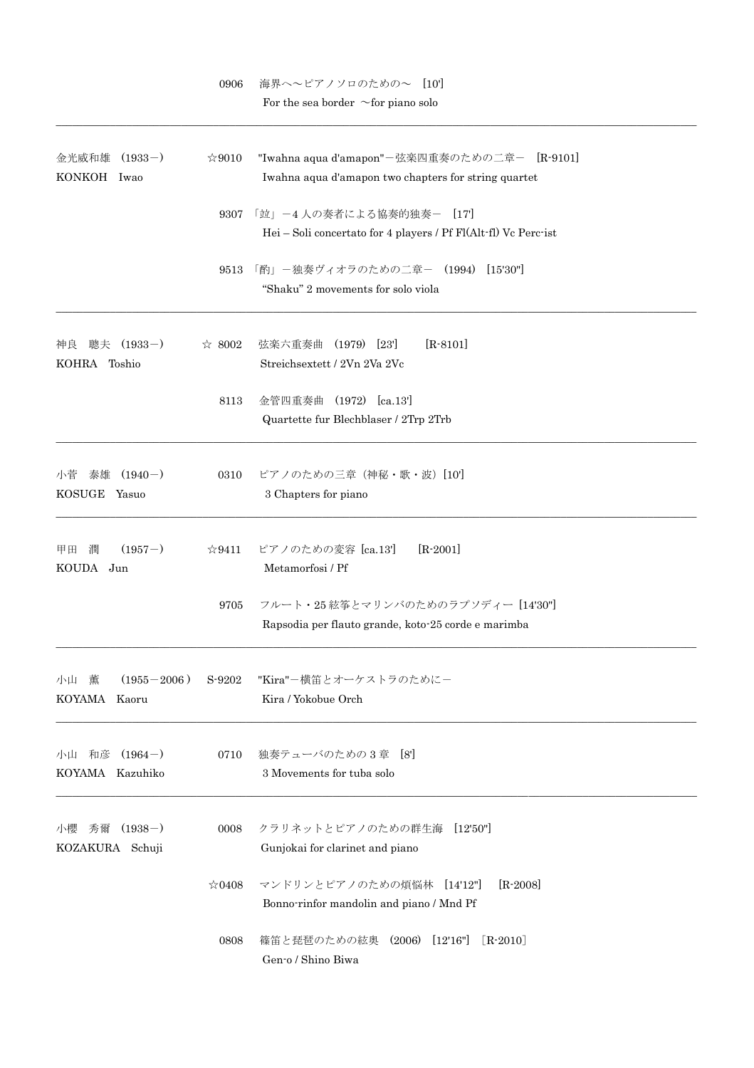|                                                 | 0906           | 海界へ~ピアノソロのための~ [10']<br>For the sea border $\sim$ for piano solo                                     |
|-------------------------------------------------|----------------|------------------------------------------------------------------------------------------------------|
| $(1933-)$<br>金光威和雄<br>KONKOH Iwao               | $\approx 9010$ | "Iwahna aqua d'amapon"-弦楽四重奏のための二章- [R-9101]<br>Iwahna aqua d'amapon two chapters for string quartet |
|                                                 | 9307           | 「竝」-4人の奏者による協奏的独奏- [17]<br>$Hei-Soli$ concertato for 4 players / Pf Fl(Alt-fl) Vc Perc-ist           |
|                                                 | 9513           | 「酌」-独奏ヴィオラのための二章- (1994) [15'30"]<br>"Shaku" 2 movements for solo viola                              |
| 聰夫 (1933-)<br>神良<br>KOHRA Toshio                | $\approx 8002$ | 弦楽六重奏曲 (1979) [23]<br>$[R-8101]$<br>Streichsextett / 2Vn 2Va 2Vc                                     |
|                                                 | 8113           | 金管四重奏曲 (1972) [ca.13']<br>Quartette fur Blechblaser / 2Trp 2Trb                                      |
| $(1940-)$<br>泰雄<br>小菅<br><b>KOSUGE</b><br>Yasuo | 0310           | ピアノのための三章(神秘・歌・波)[10']<br>3 Chapters for piano                                                       |
| $(1957-)$<br>甲田<br>潤<br>KOUDA Jun               | ☆9411          | $[R-2001]$<br>ピアノのための変容 [ca.13']<br>Metamorfosi / Pf                                                 |
|                                                 | 9705           | フルート・25 絃筝とマリンバのためのラプソディー [14'30"]<br>Rapsodia per flauto grande, koto 25 corde e marimba            |
| 小山薫<br>$(1955 - 2006)$<br>KOYAMA Kaoru          | S-9202         | "Kira"-横笛とオーケストラのためにー<br>Kira / Yokobue Orch                                                         |
| 小山 和彦<br>$(1964-)$<br>KOYAMA Kazuhiko           | 0710           | 独奏テューバのための3章 [8]<br>3 Movements for tuba solo                                                        |
| 秀爾<br>$(1938-)$<br>小櫻<br>KOZAKURA Schuji        | 0008           | クラリネットとピアノのための群生海<br>[12'50"]<br>Gunjokai for clarinet and piano                                     |
|                                                 | ☆0408          | マンドリンとピアノのための煩悩林 [14'12"]<br>$[R - 2008]$<br>Bonno-rinfor mandolin and piano / Mnd Pf                |
|                                                 | 0808           | 篠笛と琵琶のための絃奥 (2006)<br>[12'16"]<br>$[R-2010]$<br>Gen-o / Shino Biwa                                   |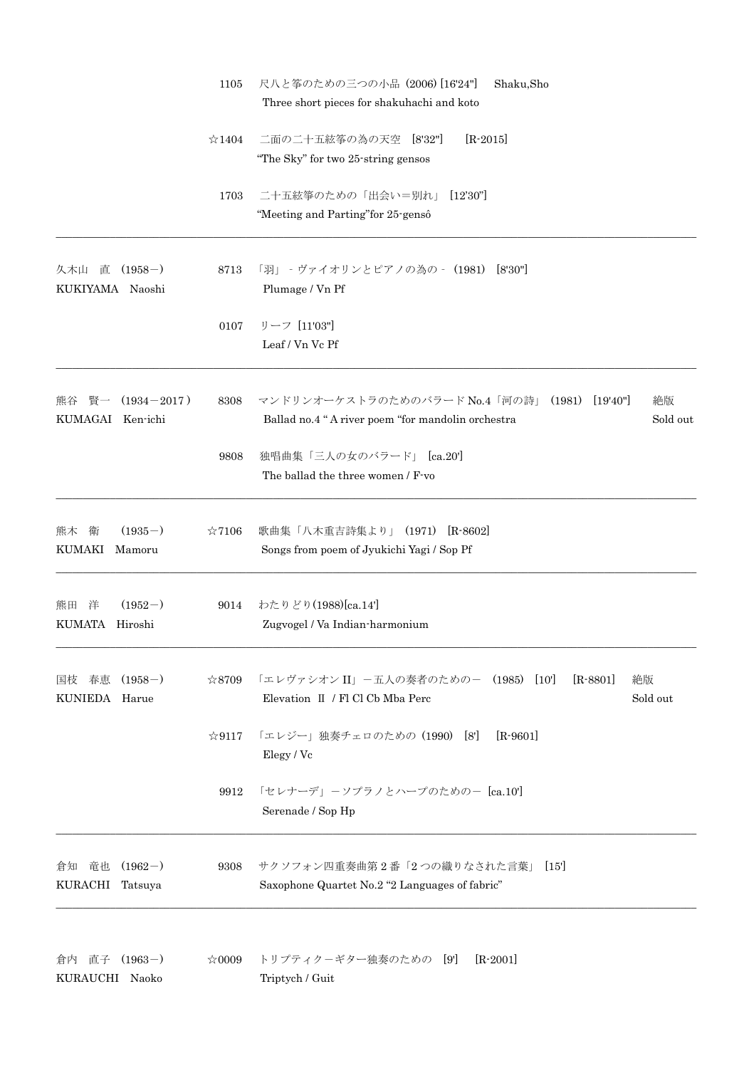|                                                 | 1105           | 尺八と筝のための三つの小品 (2006) [16'24"]<br>Shaku, Sho<br>Three short pieces for shakuhachi and koto                                  |
|-------------------------------------------------|----------------|----------------------------------------------------------------------------------------------------------------------------|
|                                                 | $\approx 1404$ | 二面の二十五絃筝の為の天空 [8'32"]<br>$[R-2015]$<br>"The Sky" for two 25-string gensos"                                                 |
|                                                 | 1703           | 二十五絃箏のための「出会い=別れ」<br>$[12'30'']$<br>"Meeting and Parting" for 25-gensô                                                     |
| 直<br>$(1958-)$<br>久木山<br>KUKIYAMA Naoshi        | 8713           | 「羽」 - ヴァイオリンとピアノの為の - (1981) [8'30"]<br>Plumage / Vn Pf                                                                    |
|                                                 | 0107           | リーフ [11'03"]<br>Leaf / Vn Vc Pf                                                                                            |
| $(1934 - 2017)$<br>賢一<br>熊谷<br>KUMAGAI Ken-ichi | 8308           | マンドリンオーケストラのためのバラード No.4「河の詩」<br>[19'40"]<br>(1981)<br>絶版<br>Sold out<br>Ballad no.4 "A river poem "for mandolin orchestra |
|                                                 | 9808           | 独唱曲集「三人の女のバラード」 [ca.20']<br>The ballad the three women / F-vo                                                              |
| $(1935-)$<br>熊木<br>衛<br>KUMAKI Mamoru           | $\approx 7106$ | 歌曲集「八木重吉詩集より」(1971)<br>$[R - 8602]$<br>Songs from poem of Jyukichi Yagi / Sop Pf                                           |
| $(1952-)$<br>熊田 洋<br>KUMATA Hiroshi             | 9014           | わたりどり(1988)[ca.14]<br>Zugvogel / Va Indian-harmonium                                                                       |
| $(1958-)$<br>国枝 春恵<br>KUNIEDA Harue             | $\approx 8709$ | 「エレヴァシオン II」-五人の奏者のための- (1985) [10']<br>$[R-8801]$<br>絶版<br>Elevation II / Fl Cl Cb Mba Perc<br>Sold out                   |
|                                                 | $\&9117$       | 「エレジー」独奏チェロのための (1990) [8]<br>$[R-9601]$<br>Elegy / Vc                                                                     |
|                                                 | 9912           | 「セレナーデ」ーソプラノとハープのためのー [ca.10']<br>Serenade / Sop Hp                                                                        |
| 倉知 竜也<br>$(1962-)$<br>KURACHI Tatsuya           | 9308           | サクソフォン四重奏曲第2番「2つの織りなされた言葉」<br>[15]<br>Saxophone Quartet No.2 "2 Languages of fabric"                                       |
| 倉内 直子<br>$(1963-)$<br>KURAUCHI Naoko            | $*0009$        | トリプティクーギター独奏のための [9]<br>$[R-2001]$<br>Triptych / Guit                                                                      |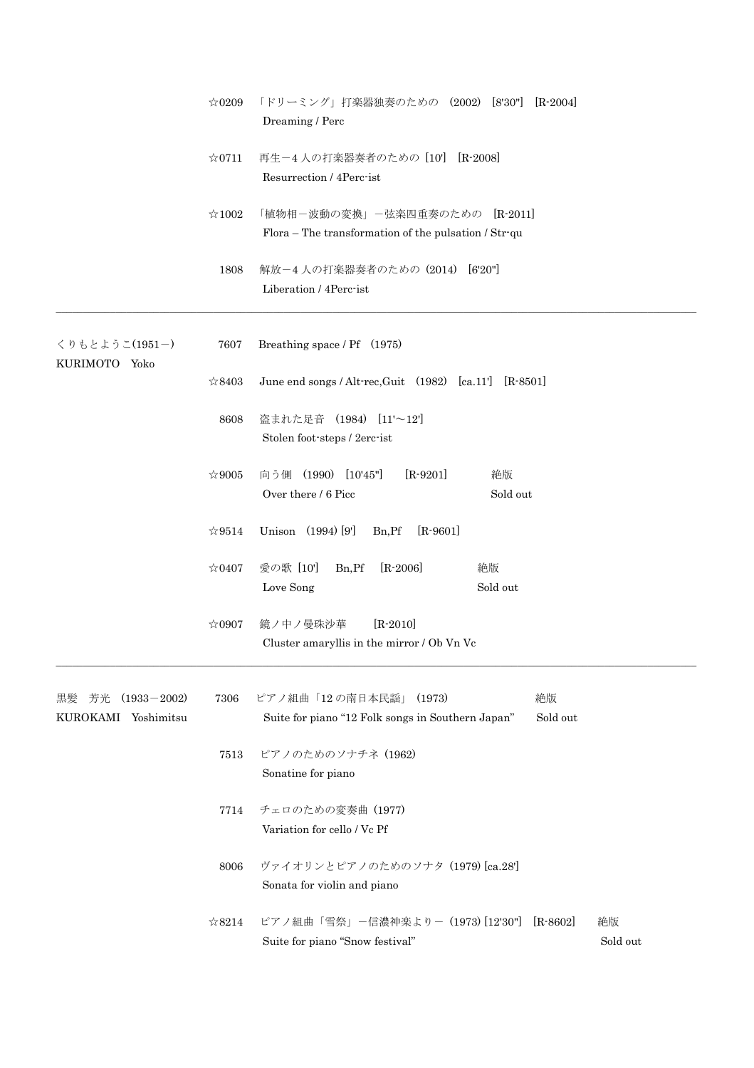|                                                    | $\approx 0209$ | 「ドリーミング」打楽器独奏のための (2002) [8'30"] [R-2004]<br>Dreaming / Perc                                          |
|----------------------------------------------------|----------------|-------------------------------------------------------------------------------------------------------|
|                                                    | $\approx 0711$ | 再生-4人の打楽器奏者のための [10'] [R-2008]<br>Resurrection / 4Perc-ist                                            |
|                                                    | $\approx 1002$ | 「植物相-波動の変換」-弦楽四重奏のための [R-2011]<br>Flora – The transformation of the pulsation / Str-qu                |
|                                                    | 1808           | 解放-4人の打楽器奏者のための (2014) [6'20"]<br>Liberation / 4Perc-ist                                              |
| くりもとようこ(1951-)                                     | 7607           | Breathing space / Pf (1975)                                                                           |
| KURIMOTO Yoko                                      | ☆8403          | June end songs / Alt-rec, Guit $(1982)$ [ca. 11'] [R-8501]                                            |
|                                                    | 8608           | 盗まれた足音 (1984) [11'~12']<br>Stolen foot-steps / 2erc-ist                                               |
|                                                    | $\approx 9005$ | $[R-9201]$<br>向う側 (1990) [10'45"]<br>絶版<br>Over there / 6 Picc<br>Sold out                            |
|                                                    | $\approx 9514$ | Unison (1994) [9]<br>$[R-9601]$<br>Bn, Pf                                                             |
|                                                    | $\approx 0407$ | $[R-2006]$<br>愛の歌 [10']<br>Bn, Pf<br>絶版<br>Sold out<br>Love Song                                      |
|                                                    | $\approx 0907$ | 鏡ノ中ノ曼珠沙華<br>$[R - 2010]$<br>Cluster amaryllis in the mirror / Ob Vn Vc                                |
| $(1933 - 2002)$<br>芳光<br>黒髪<br>KUROKAMI Yoshimitsu | 7306           | ピアノ組曲「12の南日本民謡」 (1973)<br>絶版<br>Suite for piano "12 Folk songs in Southern Japan"<br>Sold out         |
|                                                    | 7513           | ピアノのためのソナチネ (1962)<br>Sonatine for piano                                                              |
|                                                    | 7714           | チェロのための変奏曲 (1977)<br>Variation for cello / Vc Pf                                                      |
|                                                    | 8006           | ヴァイオリンとピアノのためのソナタ (1979) [ca.28']<br>Sonata for violin and piano                                      |
|                                                    | $\approx 8214$ | ピアノ組曲「雪祭」-信濃神楽より- (1973) [12'30"]<br>$[R$ -8602]<br>絶版<br>Sold out<br>Suite for piano "Snow festival" |